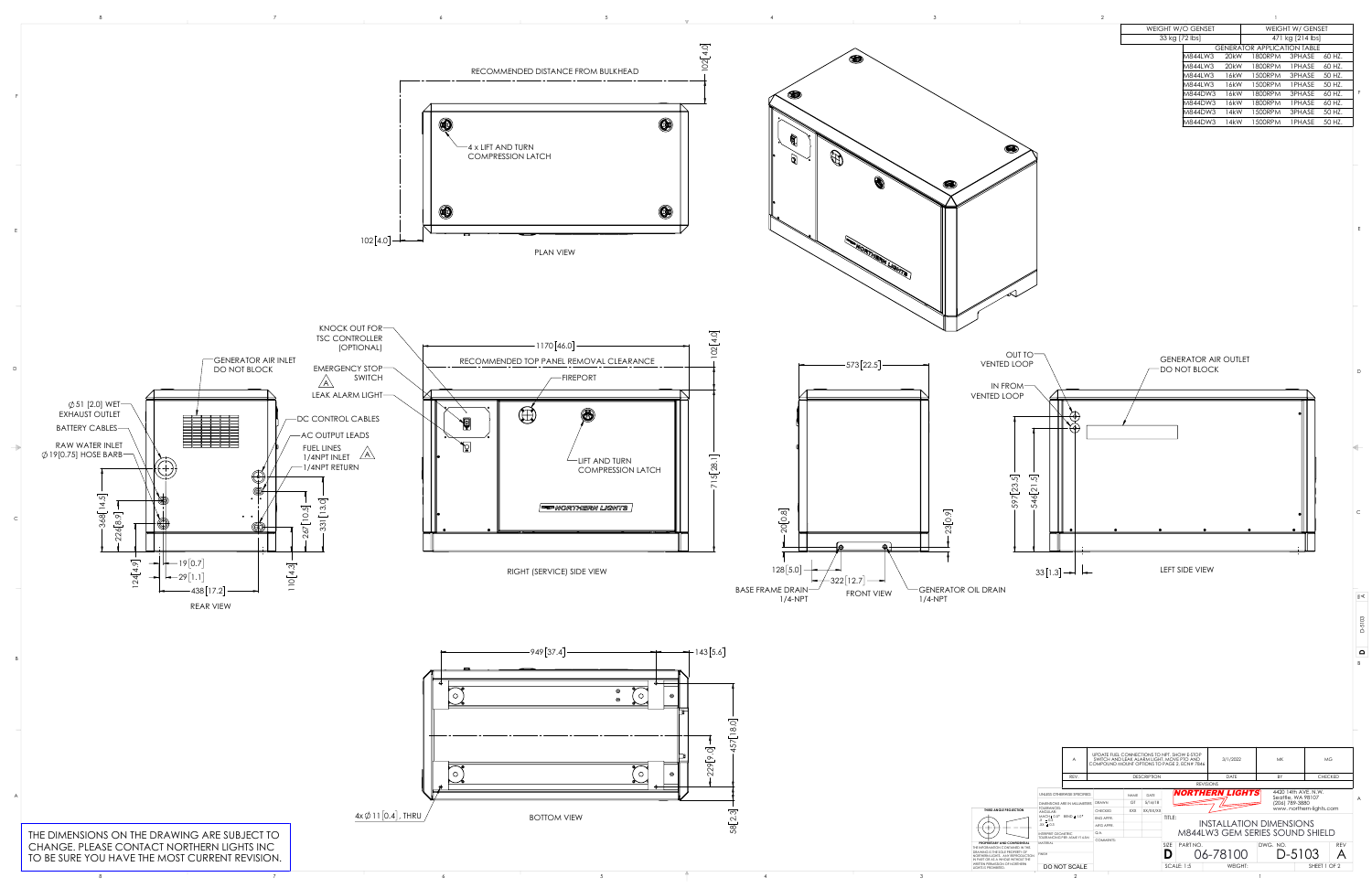TO BE SURE YOU HAVE THE MOST CURRENT REVISION.

|  |                                    |  |  | <b>WEIGHT W/O GENSET</b> | <b>WEIGHT W/ GENSET</b>            |
|--|------------------------------------|--|--|--------------------------|------------------------------------|
|  |                                    |  |  | 33 kg [72 lbs]           | 471 kg [214 lbs]                   |
|  |                                    |  |  |                          | <b>GENERATOR APPLICATION TABLE</b> |
|  |                                    |  |  |                          | M844LW3 20kW 1800RPM 3PHASE 60 HZ. |
|  |                                    |  |  |                          | M844LW3 20kW 1800RPM 1PHASE 60 HZ. |
|  | RECOMMENDED DISTANCE FROM BULKHEAD |  |  |                          | M844LW3 16kW 1500RPM 3PHASE 50 HZ. |
|  |                                    |  |  |                          | M844LW3 16kW 1500RPM 1PHASE 50 HZ. |
|  |                                    |  |  |                          | M844DW3 16kW 1800RPM 3PHASE 60 HZ. |
|  |                                    |  |  |                          | M844DW3 16kW 1800RPM 1PHASE 60 HZ. |
|  |                                    |  |  |                          | M844DW3 14kW 1500RPM 3PHASE 50 HZ. |
|  |                                    |  |  |                          | M844DW3 14kW 1500RPM 1PHASE 50HZ.  |
|  |                                    |  |  |                          |                                    |



 $\begin{array}{ccccc} & & & & & & \sqrt{2} & \sqrt{2} & \sqrt{2} & \sqrt{2} & \sqrt{2} & \sqrt{2} & \sqrt{2} & \sqrt{2} & \sqrt{2} & \sqrt{2} & \sqrt{2} & \sqrt{2} & \sqrt{2} & \sqrt{2} & \sqrt{2} & \sqrt{2} & \sqrt{2} & \sqrt{2} & \sqrt{2} & \sqrt{2} & \sqrt{2} & \sqrt{2} & \sqrt{2} & \sqrt{2} & \sqrt{2} & \sqrt{2} & \sqrt{2} & \sqrt{2} & \sqrt{2} & \sqrt{2} & \sqrt{2} & \sqrt{2} & \sqrt{2} & \sqrt{2} & \sqrt$ 

D

C

B

B

E

F

E

**D**

≩≮

D-5103

|                                                                        | UPDATE FUEL CONNECTIONS TO NPT. SHOW E-STOP<br>SWITCH AND LEAK ALARM LIGHT. MOVE PTO AND<br>A<br>COMPOUND MOUNT OPTIONS TO PAGE 2, ECN# 7846 |                             |                  |             |             |                                 | 3/1/2022       | MK.                            | <b>MG</b>      |                                          |            |  |
|------------------------------------------------------------------------|----------------------------------------------------------------------------------------------------------------------------------------------|-----------------------------|------------------|-------------|-------------|---------------------------------|----------------|--------------------------------|----------------|------------------------------------------|------------|--|
|                                                                        | <b>DESCRIPTION</b><br>REV.                                                                                                                   |                             |                  |             |             |                                 | <b>DATE</b>    | BY                             | <b>CHECKED</b> |                                          |            |  |
|                                                                        |                                                                                                                                              | <b>REVISIONS</b>            |                  |             |             |                                 |                |                                |                |                                          |            |  |
|                                                                        |                                                                                                                                              | UNLESS OTHERWISE SPECIFIED: |                  | <b>NAME</b> | <b>DATE</b> |                                 |                | <b>NORTHERN LIGHTS</b>         |                | 4420 14th AVE, N.W.<br>Seattle, WA 98107 |            |  |
| <b>CTION</b>                                                           | DIMENSIONS ARE IN MILLIMETERS<br><b>TOLERANCES:</b><br>ANGULAR:<br>$MACH_t 0.5°$ BEND $t 1.0°$<br>$X \pm 0.5$<br>$.XX \pm 0.3$               |                             | <b>DRAWN</b>     | GT          | 5/16/18     | (206) 789-3880                  |                |                                |                |                                          |            |  |
|                                                                        |                                                                                                                                              |                             | <b>CHECKED</b>   | <b>XXX</b>  | XX/XX/XX    | www.northern-lights.com         |                |                                |                |                                          |            |  |
|                                                                        |                                                                                                                                              |                             | <b>ENG APPR.</b> |             |             | TITLE:                          |                |                                |                |                                          |            |  |
|                                                                        |                                                                                                                                              |                             | MFG APPR.        |             |             |                                 |                | <b>INSTALLATION DIMENSIONS</b> |                |                                          |            |  |
|                                                                        | INTERPRET GEOMETRIC.<br><b>TOLERANCING PER: ASME Y14.5M</b><br><b>MATFRIAL</b>                                                               |                             | Q.A.             |             |             | M844LW3 GEM SERIES SOUND SHIELD |                |                                |                |                                          |            |  |
| <b>FIDENTIAL</b>                                                       |                                                                                                                                              |                             | <b>COMMENTS:</b> |             |             |                                 |                |                                |                |                                          |            |  |
| <b>VED IN THIS</b><br><b>ERTY OF</b><br><b>PRODUCTION</b><br>THOUT THE |                                                                                                                                              |                             |                  |             |             | <b>SIZE</b><br>PART NO.         |                |                                | DWG. NO.       |                                          | <b>REV</b> |  |
|                                                                        | <b>FINISH</b>                                                                                                                                |                             |                  |             |             |                                 | 06-78100       |                                | $D-5103$       |                                          |            |  |
| RTHERN                                                                 | DO NOT SCALE                                                                                                                                 |                             |                  |             |             | <b>SCALE: 1:5</b>               | <b>WEIGHT:</b> |                                | SHEET 1 OF 2   |                                          |            |  |